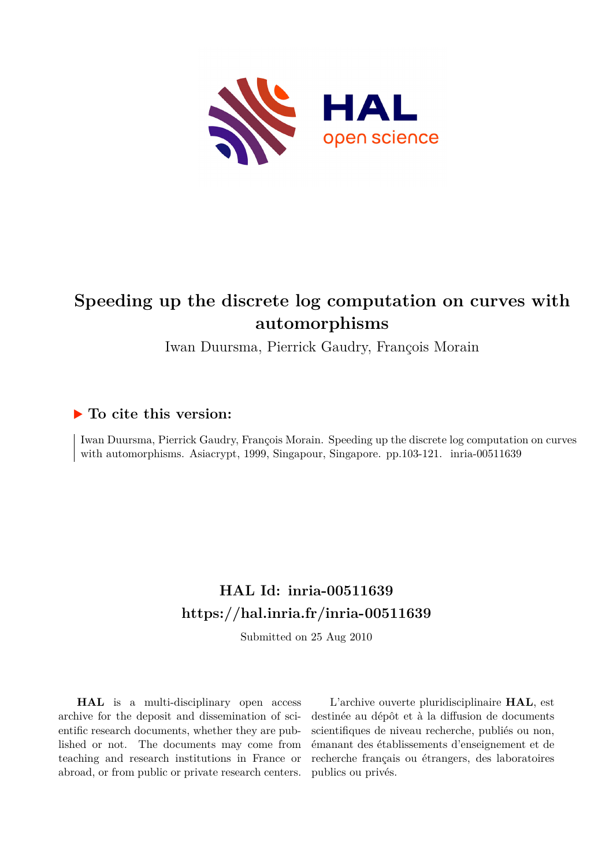

# **Speeding up the discrete log computation on curves with automorphisms**

Iwan Duursma, Pierrick Gaudry, François Morain

## **To cite this version:**

Iwan Duursma, Pierrick Gaudry, François Morain. Speeding up the discrete log computation on curves with automorphisms. Asiacrypt, 1999, Singapour, Singapore. pp.103-121. inria-00511639

# **HAL Id: inria-00511639 <https://hal.inria.fr/inria-00511639>**

Submitted on 25 Aug 2010

**HAL** is a multi-disciplinary open access archive for the deposit and dissemination of scientific research documents, whether they are published or not. The documents may come from teaching and research institutions in France or abroad, or from public or private research centers.

L'archive ouverte pluridisciplinaire **HAL**, est destinée au dépôt et à la diffusion de documents scientifiques de niveau recherche, publiés ou non, émanant des établissements d'enseignement et de recherche français ou étrangers, des laboratoires publics ou privés.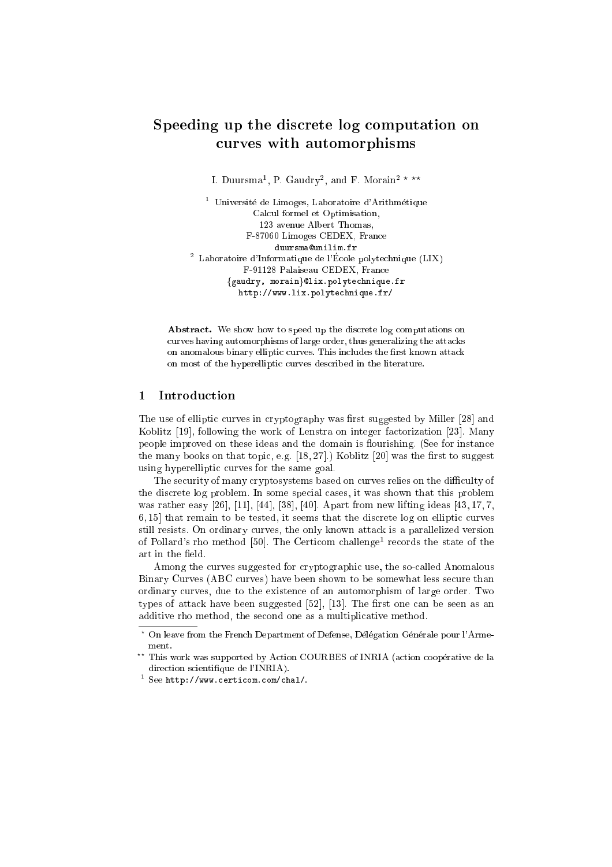### Speeding up the discrete log computation on curves with a curve with a contract of the contract of the contract of the contract of the contract of the contract of the contract of the contract of the contract of the contract of the contract of the contract of the con

I. Duursma<sup>1</sup>, P. Gaudry<sup>2</sup>, and F. Morain<sup>2 \*</sup> \*\*

<sup>1</sup> Université de Limoges, Laboratoire d'Arithmétique Calcul formel et Optimisation, 123 avenue Albert Thomas, F-87060 Limoges CEDEX, France <sup>2</sup> Laboratoire d'Informatique de l'Ecole polytechnique (LIX) F-91128 Palaiseau CEDEX, France fgaudry, moraing@lix.polytechnique.fr http://www.lix.polytechnique.fr/

Abstract. We show how to speed up the discrete log computations on curves having automorphisms of large order, thus generalizing the attacks on anomalous binary elliptic curves. This includes the first known attack on most of the hyperelliptic curves described in the literature.

#### **Introduction**  $\mathbf{1}$

The use of elliptic curves in cryptography was first suggested by Miller [28] and Koblitz [19], following the work of Lenstra on integer factorization [23]. Many people improved on these ideas and the domain is flourishing. (See for instance the many books on that topic, e.g.  $[18, 27]$ .) Koblitz  $[20]$  was the first to suggest using hyperelliptic curves for the same goal.

The security of many cryptosystems based on curves relies on the difficulty of the discrete log problem. In some special cases, it was shown that this problem was rather easy [26], [11], [44], [38], [40]. Apart from new lifting ideas [43, 17, 7, 6, 15] that remain to be tested, it seems that the discrete log on elliptic curves still resists. On ordinary curves, the only known attack is a parallelized version of Pollard's rho method [50]. The Certicom challenge<sup>1</sup> records the state of the art in the field.

Among the curves suggested for cryptographic use, the so-called Anomalous Binary Curves (ABC curves) have been shown to be somewhat less secure than ordinary curves, due to the existence of an automorphism of large order. Two types of attack have been suggested  $[52]$ , [13]. The first one can be seen as an additive rho method, the second one as a multiplicative method.

<sup>\*</sup> On leave from the French Department of Defense, Délégation Générale pour l'Armement.

<sup>??</sup> This work was supported by Action COURBES of INRIA (action cooperative de la direction scientifique de l'INRIA).

<sup>1</sup> See http://www.certicom.com/chal/.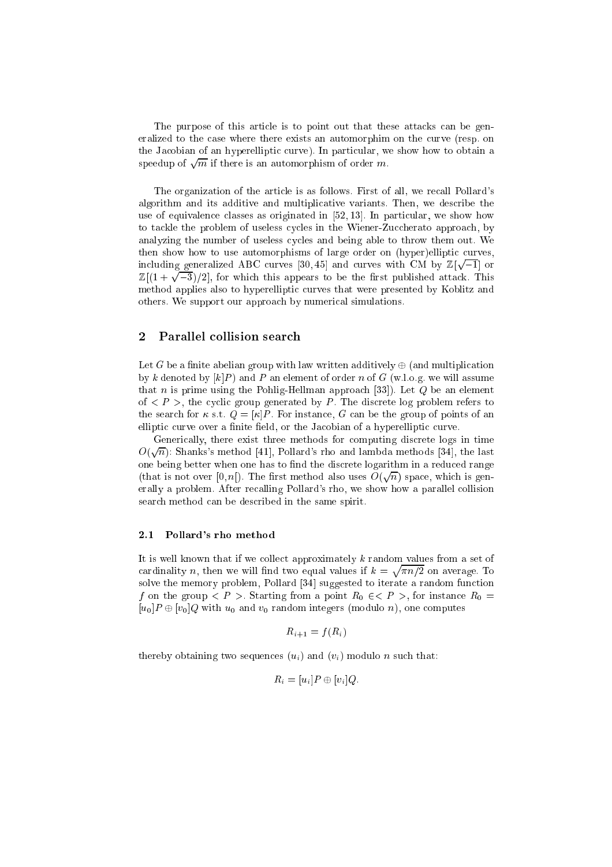The purpose of this article is to point out that these attacks can be generalized to the case where there exists an automorphim on the curve (resp. on the Jacobian of an hyperelliptic curve). In particular, we show how to obtain a speedup of  $\sqrt{m}$  if there is an automorphism of order m.

The organization of the article is as follows. First of all, we recall Pollard's algorithm and its additive and multiplicative variants. Then, we describe the use of equivalence classes as originated in [52, 13]. In particular, we show how to tackle the problem of useless cycles in the Wiener-Zuccherato approach, by analyzing the number of useless cycles and being able to throw them out. We then show how to use automorphisms of large order on (hyper)elliptic curves, including generalized ABC curves [30, 45] and curves with CM by  $\mathbb{Z}[\sqrt{-1}]$  or  $\mathbb{Z}[(1+\sqrt{-3})/2]$ , for which this appears to be the first published attack. This method applies also to hyperelliptic curves that were presented by Koblitz and others. We support our approach by numerical simulations.

#### 2 Parallel collision search

Let G be a finite abelian group with law written additively  $\oplus$  (and multiplication by k denoted by  $[k]P$  and P an element of order n of G (w.l.o.g. we will assume that *n* is prime using the Pohlig-Hellman approach [33]). Let Q be an element of  $\langle P \rangle$ , the cyclic group generated by P. The discrete log problem refers to the search for  $\kappa$  s.t.  $Q = [\kappa]P$ . For instance, G can be the group of points of an elliptic curve over a finite field, or the Jacobian of a hyperelliptic curve.

Generically, there exist three methods for computing discrete logs in time  $O(\sqrt{n})$ : Shanks's method [41], Pollard's rho and lambda methods [34], the last one being better when one has to find the discrete logarithm in a reduced range (that is not over [0, n]). The first method also uses  $O(\sqrt{n})$  space, which is generally a problem. After recalling Pollard's rho, we show how a parallel collision search method can be described in the same spirit.

#### 2.1 Pollard's rho method

It is well known that if we collect approximately  $k$  random values from a set of cardinality is the will we will define the support interest of the  $\sim$ products and the contract of the  $\ldots$  .  $\ldots$  and  $\ldots$  are  $\Delta$ solve the memory problem, Pollard [34] suggested to iterate a random function f on the group  $\lt F > 0$  starting from a point  $R_0 \lt \lt F > 0$  for instance  $R_0 =$  $[u_0]P \oplus [v_0]Q$  with  $u_0$  and  $v_0$  random integers (modulo n), one computes

$$
R_{i+1} = f(R_i)
$$

thereby obtaining two sequences  $(u_i)$  and  $(v_i)$  modulo n such that:

$$
R_i = [u_i]P \oplus [v_i]Q.
$$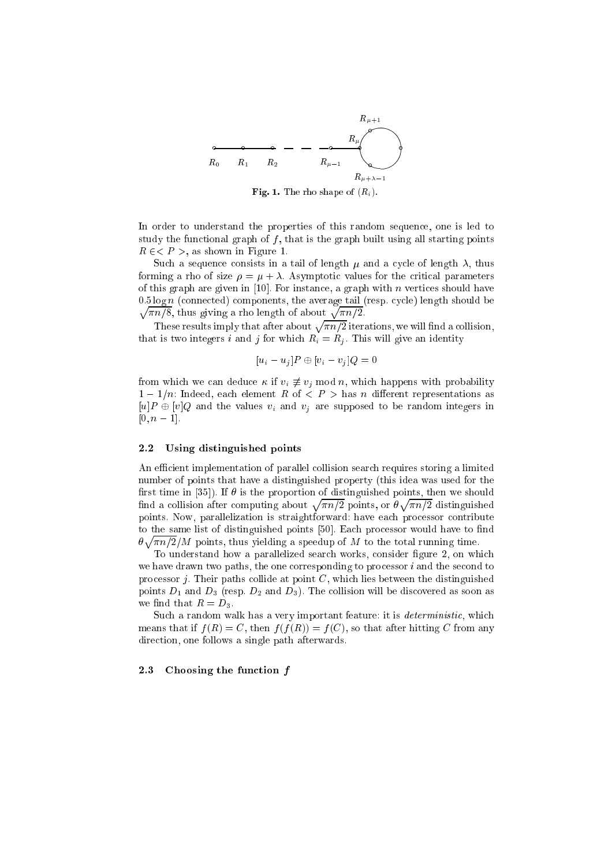

**Fig. 1.** The rho shape of  $(R_i)$ .

In order to understand the properties of this random sequence, one is led to study the functional graph of  $f$ , that is the graph built using all starting points R 2< <sup>P</sup> >, as shown in Figure 1.

Such a sequence consists in a tail of length  $\mu$  and a cycle of length  $\lambda$ , thus forming a rho of size  $\rho = \mu + \lambda$ . Asymptotic values for the critical parameters of this graph are given in [10]. For instance, a graph with n vertices should have  $\sqrt{\pi n/8}$ , thus giving a rho length of about  $\sqrt{\pi n/2}$ .  $0.5 \log n$  (connected) components, the average tail (resp. cycle) length should be

These results imply that after about  $\sqrt{\pi n/2}$  iterations, we will find a collision, that is two integers integers  $j$  for which Ri  $\alpha$  , will form which  $\alpha$  is an integers  $j$ 

$$
[u_i - u_j]P \oplus [v_i - v_j]Q = 0
$$

for a deduce of via deduce  $\alpha$  of via  $\alpha$  if via deduce  $\alpha$  $1-1/n$ : Indeed, each element R of  $\langle P \rangle$  has n different representations as  $\|v\|=0$  , we find the values victorian to the via the virtual via the random integrating integration integration  $[0, n - 1]$ .

#### 2.2 Using distinguished points

An efficient implementation of parallel collision search requires storing a limited number of points that have a distinguished property (this idea was used for the first time in [35]). If  $\theta$  is the proportion of distinguished points, then we should find a collision after computing about  $\sqrt{\pi n/2}$  points, or  $\theta$ provided and the same n=2 distinguished points. Now, parallelization is straightforward: have each processor contribute to the same list of distinguished points [50]. Each processor would have to find products and the contract of the nos, points, points, the speedup of M to the total running time. The total running time of

To understand how a parallelized search works, consider figure 2, on which we have drawn two paths, the one corresponding to processor  $i$  and the second to processor  $j$ . Their paths collide at point  $C$ , which lies between the distinguished points  $D_1$  and  $D_3$  (resp.  $D_2$  and  $D_3$ ). The collision will be discovered as soon as we find that  $R = D_3$ .

Such a random walk has a very important feature: it is *deterministic*, which means that if  $f(R) = C$ , then  $f(f(R)) = f(C)$ , so that after hitting C from any direction, one follows a single path afterwards.

#### 2.3 Choosing the function <sup>f</sup>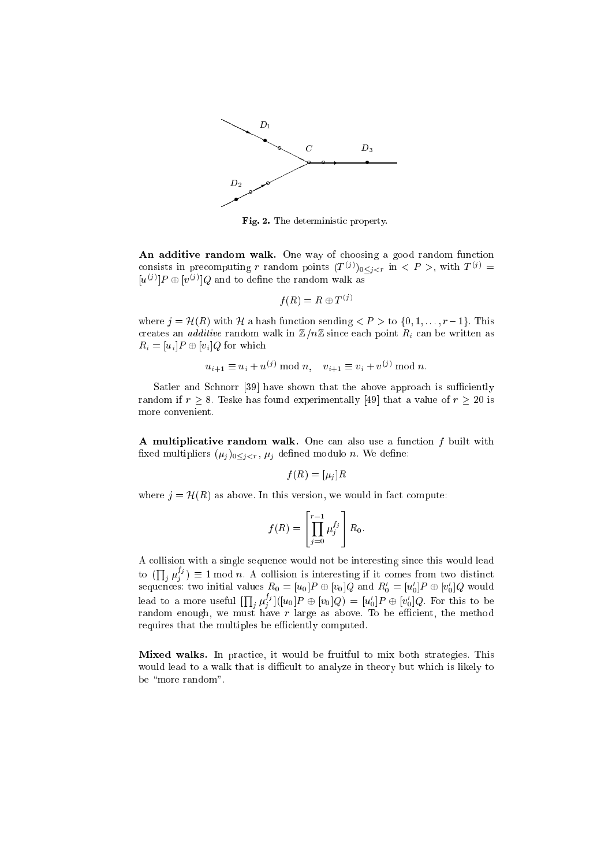

Fig. 2. The deterministic property.

An additive random walk. One way of choosing a good random function consists in precomputing r random points  $(T^{(j)})_{0 \leq i \leq r}$  in  $\leq P >$ , with  $T^{(j)} =$  $[u^{(j)}]P \oplus [v^{(j)}]Q$  and to define the random walk as

$$
f(R) = R \oplus T^{(j)}
$$

where  $j = \mathcal{H}(R)$  with H a hash function sending  $\langle P \rangle$  to  $\{0, 1, \ldots, r-1\}$ . This creates and ditive random walk in Zee since  $\mathcal{L}_{\mathcal{A}}$  is the walk in  $\mathcal{L}_{\mathcal{A}}$  since  $\mathcal{L}_{\mathcal{A}}$  as well as well  $\mathbb{P} \circ \mathbb{P}$  , which is a property of  $\mathbb{P} \circ \mathbb{P}$ 

$$
u_{i+1} \equiv u_i + u^{(j)}
$$
 mod  $n$ ,  $v_{i+1} \equiv v_i + v^{(j)}$  mod  $n$ 

Satler and Schnorr [39] have shown that the above approach is sufficiently random if  $r \geq 8$ . Teske has found experimentally [49] that a value of  $r \geq 20$  is more convenient.

A multiplicative random walk. One can also use a function  $f$  built with  $x$ ed multipliers ( $\mu_{ij}$ ) $0 \leq i \leq r$ ,  $\mu_{ij}$  defined modulo  $n$ . We define,

$$
f(R) = [\mu_j]R
$$

where  $j = \mathcal{H}(R)$  as above. In this version, we would in fact compute:

$$
f(R) = \left[\prod_{j=0}^{r-1} \mu_j^{f_j}\right] R_0.
$$

A collision with a single sequence would not be interesting since this would lead to ( $\Pi$  $j(\mu^{(j)}_j) \equiv 1 \bmod n$ . A collision is interesting if it comes from two distinct sequences: two initial values  $R_0 = [u_0]P \oplus [v_0]Q$  and  $R_0 = [u_0]P \oplus [v_0]Q$  would lead to a more useful  $[\prod_i \mu_j^{l_j}][[u_0]P \oplus [v_0]Q) = [u_0']P \oplus [v_0']Q.$  For this to be jj random enough, we must have <sup>r</sup> large as above. To be ecient, the method requires that the multiples be efficiently computed.

Mixed walks. In practice, it would be fruitful to mix both strategies. This would lead to a walk that is difficult to analyze in theory but which is likely to be "more random".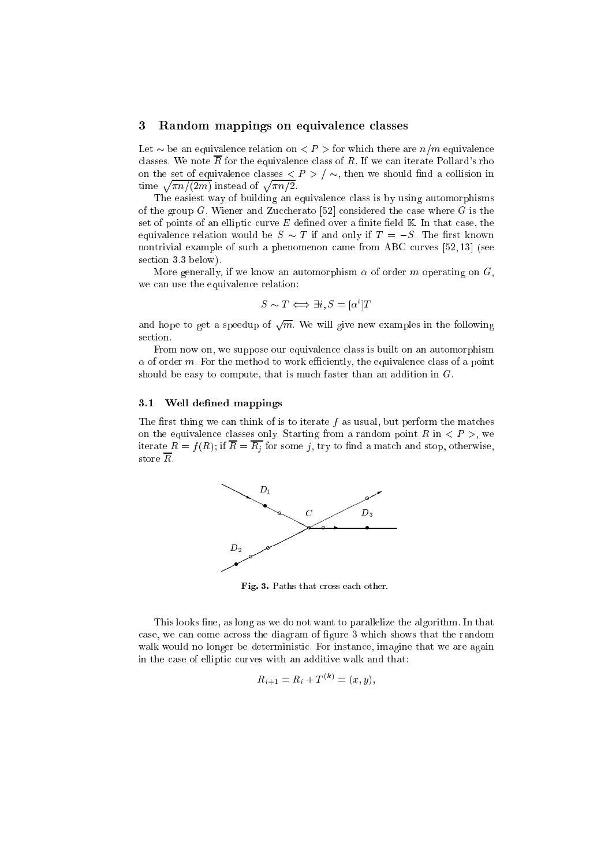#### 3 Random mappings on equivalence classes

Let  $\sim$  be an equivalence relation on  $\lt P$  > for which there are  $n/m$  equivalence classes. We note  $\overline{R}$  for the equivalence class of R. If we can iterate Pollard's rho on the set of equivalence classes  $\langle P \rangle / \sim$ , then we should find a collision in time  $\sqrt{\pi n/(2m)}$  instead of  $\sqrt{\pi n/2}$ .

The easiest way of building an equivalence class is by using automorphisms of the group G. Wiener and Zuccherato [52] considered the case where G is the set of points of an elliptic curve  $E$  defined over a finite field  $K$ . In that case, the equivalence relation would be  $S \sim T$  if and only if  $T = -S$ . The first known nontrivial example of such a phenomenon came from ABC curves [52, 13] (see section 3.3 below).

More generally, if we know an automorphism  $\alpha$  of order m operating on  $G$ , we can use the equivalence relation:

$$
S \sim T \iff \exists i, S = [\alpha^i]T
$$

and hope to get a speedup of  $\sqrt{m}$ . We will give new examples in the following section.

From now on, we suppose our equivalence class is built on an automorphism of order m. For the method to work eciently, the equivalence class of a point should be easy to compute, that is much faster than an addition in  $G$ .

#### 3.1 Well defined mappings

The first thing we can think of is to iterate f as usual, but perform the matches on the equivalence classes only. Starting from a random point  $R$  in  $\langle P \rangle$ , we iterate <sup>R</sup> <sup>=</sup> <sup>f</sup> (R); if <sup>R</sup> = Rj for some j, try to nd <sup>a</sup> match and stop, otherwise, store R.



Fig. 3. Paths that cross each other.

This looks fine, as long as we do not want to parallelize the algorithm. In that case, we can come across the diagram of figure 3 which shows that the random walk would no longer be deterministic. For instance, imagine that we are again in the case of elliptic curves with an additive walk and that:

$$
R_{i+1} = R_i + T^{(k)} = (x, y),
$$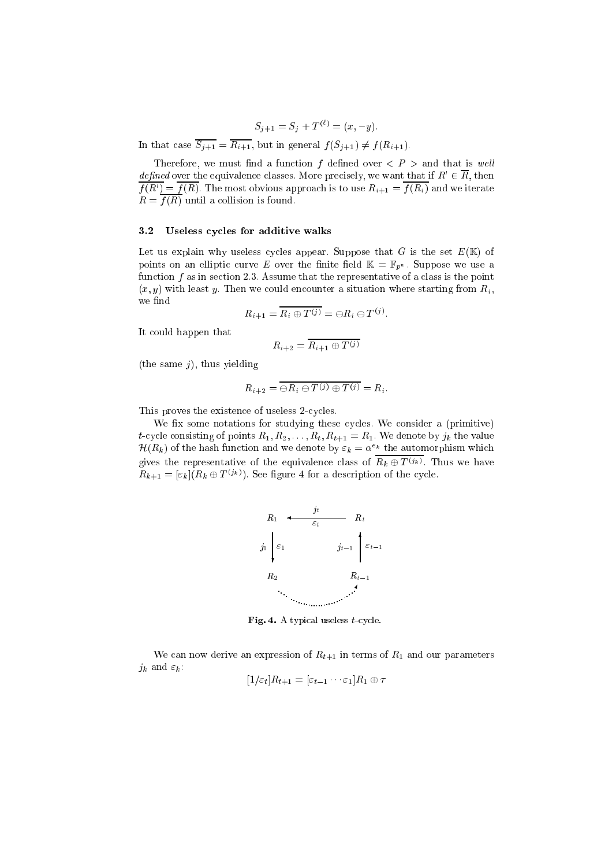$$
S_{i+1} = S_i + T^{(\ell)} = (x, -y).
$$

In that case  $\overline{S_{j+1}} = \overline{R_{i+1}}$ , but in general  $f(S_{j+1}) \neq f(R_{i+1}).$ 

Therefore, we must find a function f defined over  $\langle P \rangle$  and that is well *defined* over the equivalence classes. More precisely, we want that if  $R_0 \in R$ , then  $f(n) = f(n)$ . The most obvious approach is to use  $n_{i+1} = f(n_i)$  and we relate R = <sup>f</sup> (R) until a collision is found.

#### 3.2 Useless cycles for additive walks

Let us explain why useless cycles appear. Suppose that  $G$  is the set  $E(\mathbb{K})$  of points on an elliptic curve E over the finite field  $\mathbb{K} = \mathbb{F}_{p^n}$ . Suppose we use a function  $f$  as in section 2.3. Assume that the representative of a class is the point (x; y) with least  $y$ . Then we could encounter a situation where situation where starting from Ri , we find

$$
R_{i+1} = \overline{R_i \oplus T^{(j)}} = \ominus R_i \ominus T^{(j)}.
$$

It could happen that

$$
R_{i+2} = \overline{R_{i+1} \oplus T^{(j)}}
$$

(the same  $j$ ), thus yielding

$$
R_{i+2} = \overline{\ominus R_i \ominus T^{(j)} \oplus T^{(j)}} = R_i.
$$

This proves the existence of useless 2-cycles.

We fix some notations for studying these cycles. We consider a (primitive) t-cycle consisting of points  $R_1, R_2, \ldots, R_t, R_{t+1} = R_1$ . We denote by  $j_k$  the value  $\pi(\kappa_k)$  of the hash function and we denote by  $\varepsilon_k = \alpha^{-k}$  the automorphism which gives the representative of the equivalence class of  $R_k \oplus T^{(j_k)}$ . Thus we have  $R_{k+1} = [\varepsilon_k] (R_k \oplus T^{(j_k)})$ . See figure 4 for a description of the cycle.



Fig. 4. A typical useless  $t$ -cycle.

We can now derive an expression of  $R_{t+1}$  in terms of  $R_1$  and our parameters jk and "k :

$$
[1/\varepsilon_t]R_{t+1} = [\varepsilon_{t-1}\cdots\varepsilon_1]R_1 \oplus \tau
$$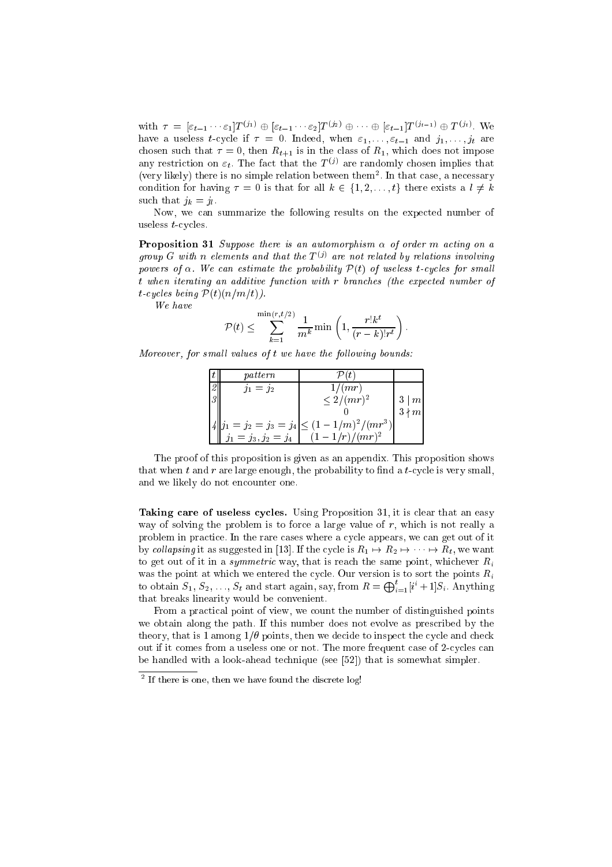with  $\tau = [\varepsilon_{t-1} \cdots \varepsilon_1] T^{(j_1)} \oplus [\varepsilon_{t-1} \cdots \varepsilon_2] T^{(j_2)} \oplus \cdots \oplus [\varepsilon_{t-1}] T^{(j_{t-1})} \oplus T^{(j_t)}$ . We have a useless t-cycle if  $\tau = 0$ . Indeed, when  $\varepsilon_1, \ldots, \varepsilon_{t-1}$  and  $j_1, \ldots, j_t$  are chosen such that  $\tau = 0$ , then  $R_{t+1}$  is in the class of  $R_1$ , which does not impose any restriction on  $\varepsilon_t$ . The fact that the  $T^{(j)}$  are randomly chosen implies that (very likely) there is no simple relation between them<sup>2</sup>. In that case, a necessary condition for having  $\tau = 0$  is that for all  $k \in \{1, 2, \ldots, t\}$  there exists a  $l \neq k$ such that is given that if  $\mathcal{J}^{\mathcal{L}}$  . The such that is given that  $\mathcal{J}^{\mathcal{L}}$  . The such that is given that  $\mathcal{J}^{\mathcal{L}}$  . The such that is given that  $\mathcal{J}^{\mathcal{L}}$  is given that is given that is given that

Now, we can summarize the following results on the expected number of useless t-cycles.

**Proposition 31** Suppose there is an automorphism  $\alpha$  of order m acting on a group G with n elements and that the  $T^{(j)}$  are not related by relations involving powers of an investment assumed the probability P(t) of users t-cycles for small t when iterating an additive function with <sup>r</sup> branches (the expected number of t-cycles being P(t)(n=m=t)).

$$
\mathcal{P}(t) \le \sum_{k=1}^{\min(r,t/2)} \frac{1}{m^k} \min\left(1, \frac{r! k^t}{(r-k)! r^t}\right)
$$

Moreover, for smal l values of <sup>t</sup> we have the fol lowing bounds:

|                | pattern                |                                                    |                |
|----------------|------------------------|----------------------------------------------------|----------------|
| 2              | $j_1 = j_2$            | 1/(mr)                                             |                |
| $\overline{Q}$ |                        | $\leq 2/(mr)^2$                                    | m <sub>l</sub> |
|                |                        |                                                    |                |
|                |                        | $  j_1 = j_2 = j_3 = j_4  \leq (1 - 1/m)^2/(mr^3)$ |                |
|                | $j_1 = j_3, j_2 = j_4$ | $-1/r)/(mr)^2$                                     |                |

The proof of this proposition is given as an appendix. This proposition shows that when t and r are large enough, the probability to find a t-cycle is very small, and we likely do not encounter one.

Taking care of useless cycles. Using Proposition 31, it is clear that an easy way of solving the problem is to force a large value of  $r$ , which is not really a problem in practice. In the rare cases where a cycle appears, we can get out of it by collapsing it as suggested in [13]. If the cycle is  $R_1 \mapsto R_2 \mapsto \cdots \mapsto R_t$ , we want to get out of it in a symmetric way, that is reach the same point,  $\mathbf r$  and  $\mathbf r$ was the point at which we entered the cycle. Our version is to sort the points  $R_i$ to obtain  $S_1, S_2, ..., S_t$  and start again, say, from  $R = \bigoplus_{i=1}^t [i^i + 1]S_i$ . Anything that breaks linearity would be convenient.

From a practical point of view, we count the number of distinguished points we obtain along the path. If this number does not evolve as prescribed by the theory, that is 1 among  $1/\theta$  points, then we decide to inspect the cycle and check out if it comes from a useless one or not. The more frequent case of 2-cycles can be handled with a look-ahead technique (see [52]) that is somewhat simpler.

<sup>2</sup> If there is one, then we have found the discrete log!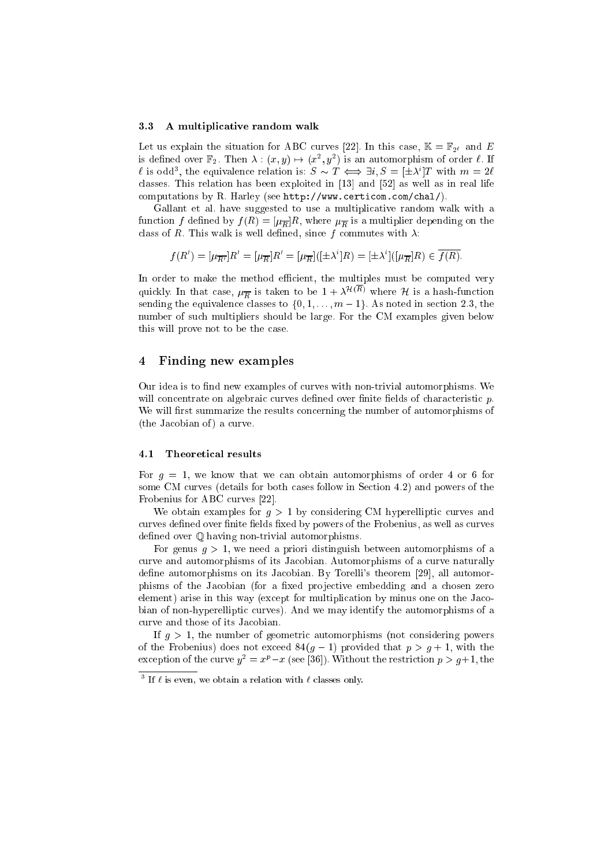#### 3.3 A multiplicative random walk

Let us explain the situation for ABC curves [22]. In this case,  $\mathbb{K} = \mathbb{F}_{2^{\ell}}$  and E is defined over  $\mathbb{F}_2$ . Then  $\lambda : (x, y) \mapsto (x^2, y^2)$  is an automorphism of order  $\ell$ . If l is odd<sup>3</sup>, the equivalence relation is:  $S \sim T \iff \exists i, S = [\pm \lambda^i]T$  with  $m = 2\ell$ classes. This relation has been exploited in [13] and [52] as well as in real life computations by R. Harley (see http://www.certicom.com/chal/).

Gallant et al. have suggested to use a multiplicative random walk with a function for a multiplier  $\mu$  (R)  $\mu$  (R)  $\mu$  ,  $\mu$  and the  $\mu$   $R$  and the multiplier on the control on the control class of R. This walk is well defined the commutes with since  $\alpha$  and  $\alpha$  is well defined as  $\alpha$ 

$$
f(R') = [\mu_{\overline{R'}}]R' = [\mu_{\overline{R}}]R' = [\mu_{\overline{R}}]([\pm \lambda^{i}]R) = [\pm \lambda^{i}](\mu_{\overline{R}}]R) \in \overline{f(R)}.
$$

In order to make the method efficient, the multiples must be computed very quickly. In that case,  $\mu_{\overline{R}}$  is taken to be  $1 + \lambda^{\mathcal{H}(R)}$  where  $\mathcal H$  is a hash-function sending the equivalence classes to f0; 1; m  $1, 2, 1, 2, 1, 2, 3, 4, 5, 6, 7, 8, 7, 8, 8, 7, 8, 7, 8, 7, 8, 7, 8, 7, 8, 7, 8, 7, 8, 7, 8, 7, 8, 7, 8, 7, 8, 7, 8, 7, 8, 7, 8, 7, 8, 7, 8, 7, 8, 7, 8, 7, 8, 7, 8, 7, 8, 7, 8,$ number of such multipliers should be large. For the CM examples given below this will prove not to be the case.

#### 4 Finding new examples

Our idea is to find new examples of curves with non-trivial automorphisms. We will concentrate on algebraic curves defined over finite fields of characteristic  $p$ . We will first summarize the results concerning the number of automorphisms of (the Jacobian of ) a curve.

#### 4.1 Theoretical results

For  $g = 1$ , we know that we can obtain automorphisms of order 4 or 6 for some CM curves (details for both cases follow in Section 4.2) and powers of the Frobenius for ABC curves [22].

We obtain examples for  $g > 1$  by considering CM hyperelliptic curves and curves defined over finite fields fixed by powers of the Frobenius, as well as curves defined over  $\mathbb O$  having non-trivial automorphisms.

For genus  $q > 1$ , we need a priori distinguish between automorphisms of a curve and automorphisms of its Jacobian. Automorphisms of a curve naturally define automorphisms on its Jacobian. By Torelli's theorem [29], all automorphisms of the Jacobian (for a fixed projective embedding and a chosen zero element) arise in this way (except for multiplication by minus one on the Jacobian of non-hyperelliptic curves). And we may identify the automorphisms of a curve and those of its Jacobian.

If  $g > 1$ , the number of geometric automorphisms (not considering powers of the Frobenius) does not exceed  $84(g - 1)$  provided that  $p > g + 1$ , with the exception of the curve  $y^2 = x^p - x$  (see [36]). Without the restriction  $p > g+1$ , the

 $\,$  - if  $\ell$  is even, we obtain a relation with  $\ell$  classes only.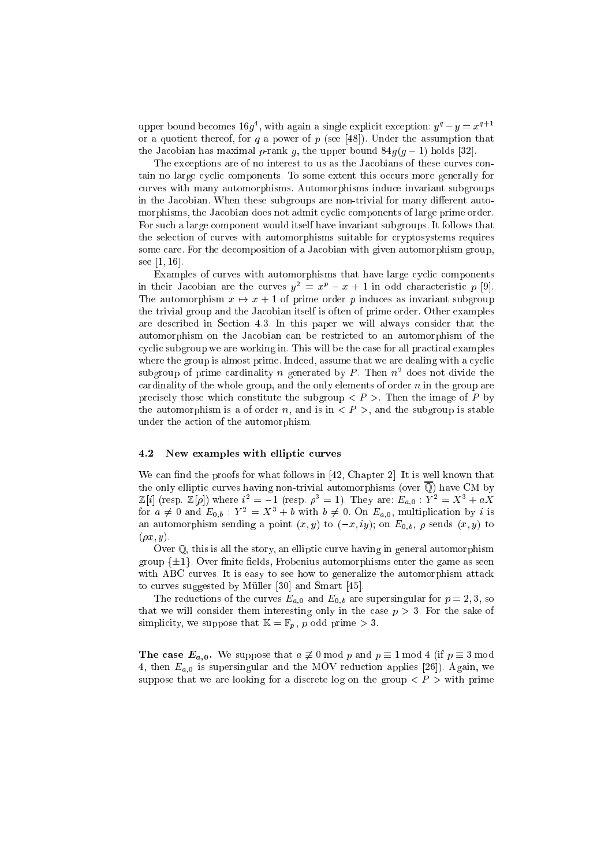upper bound becomes  $16q^4$ , with again a single explicit exception:  $y^q - y = x^{q+1}$ or a quotient thereof, for q a power of p (see [48]). Under the assumption that the Jacobian has maximal p-rank g, the upper bound  $84g(g - 1)$  holds [32].

The exceptions are of no interest to us as the Jacobians of these curves contain no large cyclic components. To some extent this occurs more generally for curves with many automorphisms. Automorphisms induce invariant subgroups in the Jacobian. When these subgroups are non-trivial for many different automorphisms, the Jacobian does not admit cyclic components of large prime order. For such a large component would itself have invariant subgroups. It follows that the selection of curves with automorphisms suitable for cryptosystems requires some care. For the decomposition of a Jacobian with given automorphism group, see [1, 16].

Examples of curves with automorphisms that have large cyclic components in their Jacobian are the curves  $y^2 = x^p - x + 1$  in odd characteristic p [9]. The automorphism  $x \mapsto x + 1$  of prime order p induces as invariant subgroup the trivial group and the Jacobian itself is often of prime order. Other examples are described in Section 4.3. In this paper we will always consider that the automorphism on the Jacobian can be restricted to an automorphism of the cyclic subgroup we are working in. This will be the case for all practical examples where the group is almost prime. Indeed, assume that we are dealing with a cyclic subgroup of prime cardinality n generated by P. Then  $n^2$  does not divide the cardinality of the whole group, and the only elements of order  $n$  in the group are precisely those which constitute the subgroup  $\langle P \rangle$ . Then the image of P by the automorphism is a of order n, and is in  $\langle P \rangle$ , and the subgroup is stable under the action of the automorphism.

#### 4.2 New examples with elliptic curves

We can find the proofs for what follows in  $[42,$  Chapter 2]. It is well known that the only elliptic curves having non-trivial automorphisms (over  $\overline{Q}$ ) have CM by  $\mathbb{Z}[i]$  (resp.  $\mathbb{Z}[\rho]$ ) where  $i^2 = -1$  (resp.  $\rho^3 = 1$ ). They are:  $E_{a,0} : Y^2 = X^3 + aX$ for  $a \neq 0$  and  $E_{0,b}$ :  $Y^2 = X^3 + b$  with  $b \neq 0$ . On  $E_{a,0}$ , multiplication by i is an automorphism sending a point  $(x, y)$  to  $(-x, iy)$ ; on  $E_{0,b}$ ,  $\rho$  sends  $(x, y)$  to  $(\rho x, y).$ 

Over Q, this is all the story, an elliptic curve having in general automorphism group  $\{\pm 1\}$ . Over finite fields, Frobenius automorphisms enter the game as seen with ABC curves. It is easy to see how to generalize the automorphism attack to curves suggested by Muller [30] and Smart [45].

The reductions of the curves  $E_{a,0}$  and  $E_{0,b}$  are supersingular for  $p = 2, 3$ , so that we will consider them interesting only in the case  $p > 3$ . For the sake of simplicity, we suppose that I = Fp; p o support prime > 3.

The case  $E_{a,0}$ . We suppose that  $a \not\equiv 0 \mod p$  and  $p \equiv 1 \mod 4$  (if  $p \equiv 3 \mod 4$ ) 4, then  $E_{a,0}$  is supersingular and the MOV reduction applies [26]). Again, we suppose that we are looking for a discrete log on the group  $\langle P \rangle$  with prime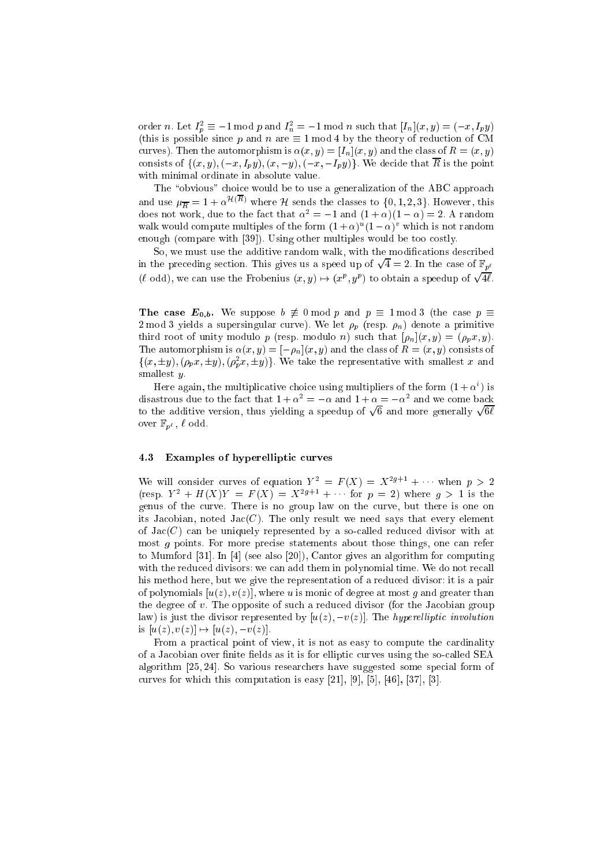order *n*. Let  $I_p^2 \equiv -1 \mod p$  and  $I_n^2 = -1 \mod n$  such that  $[I_n](x, y) = (-x, I_p y)$ (this is possible since p and n are  $\equiv 1 \mod 4$  by the theory of reduction of CM curves). Then the automorphism is  $\alpha(x, y) = [I_n](x, y)$  and the class of  $R = (x, y)$ consists of  $\{(x, y), (-x, I_p y), (x, -y), (-x, -I_p y)\}$ . We decide that  $\overline{R}$  is the point with minimal ordinate in absolute value.

The "obvious" choice would be to use a generalization of the ABC approach and use  $\mu_{\overline{R}} = 1 + \alpha^{\mathcal{H}(R)}$  where  $\mathcal H$  sends the classes to  $\{0, 1, 2, 3\}$ . However, this does not work, due to the fact that  $\alpha^2 = -1$  and  $(1 + \alpha)(1 - \alpha) = 2$ . A random waik would compute multiples of the form  $(1 + \alpha)^{-}(1 - \alpha)^{+}$  which is not random enough (compare with [39]). Using other multiples would be too costly.

So, we must use the additive random walk, with the modifications described in the preceding section. This gives us a speed up of  $\sqrt{4} = 2$ . In the case of  $\mathbb{F}_{p^{\ell}}$ ( $\ell$  odd), we can use the Frobenius  $(x, y) \mapsto (x^p, y^p)$  to obtain a speedup of  $\sqrt{4\ell}$ .

The case  $E_{0,b}$ . We suppose  $b \neq 0 \text{ mod } p$  and  $p \equiv 1 \text{ mod } 3$  (the case  $p \equiv$ 2 mod 3 yields a supersingular curve). We let p (resp. n) denote <sup>a</sup> primitive third root of unity modulo p (resp. modulo n) such that  $[\rho_n](x, y) = (\rho_p x, y)$ . The automorphism is  $\alpha(x, y) = [-\rho_n](x, y)$  and the class of  $R = (x, y)$  consists of  $\{(x, \pm y), (\rho_p x, \pm y), (\rho_p^2 x, \pm y)\}\.$  We take the representative with smallest x and smallest y.

Here again, the multiplicative choice using multipliers of the form  $(1 + \alpha^*)$  is disastrous due to the fact that  $1 + \alpha^2 = -\alpha$  and  $1 + \alpha = -\alpha^2$  and we come back to the additive version, thus yielding a speedup of  $\sqrt{6}$  and more generally  $\sqrt{6\ell}$ over  $\mathbb{F}_{n^{\ell}}$ ,  $\ell$  odd.

#### 4.3 Examples of hyperelliptic curves

We will consider curves of equation  $Y^2 = F(X) = X^{2g+1} + \cdots$  when  $p > 2$ (resp.  $Y^2 + H(X)Y = F(X) = X^{2g+1} + \cdots$  for  $p = 2$ ) where  $q > 1$  is the genus of the curve. There is no group law on the curve, but there is one on its Jacobian, noted  $Jac(C)$ . The only result we need says that every element of  $Jac(C)$  can be uniquely represented by a so-called reduced divisor with at most g points. For more precise statements about those things, one can refer to Mumford [31]. In [4] (see also [20]), Cantor gives an algorithm for computing with the reduced divisors: we can add them in polynomial time. We do not recall his method here, but we give the representation of a reduced divisor: it is a pair of polynomials  $[u(z), v(z)]$ , where u is monic of degree at most q and greater than the degree of v. The opposite of such a reduced divisor (for the Jacobian group law) is just the divisor represented by  $[u(z), -v(z)]$ . The *hyperelliptic involution* is  $[u(z), v(z)] \mapsto [u(z), -v(z)].$ 

From a practical point of view, it is not as easy to compute the cardinality of a Jacobian over finite fields as it is for elliptic curves using the so-called SEA algorithm [25, 24]. So various researchers have suggested some special form of curves for which this computation is easy [21], [9], [5], [46], [37], [3].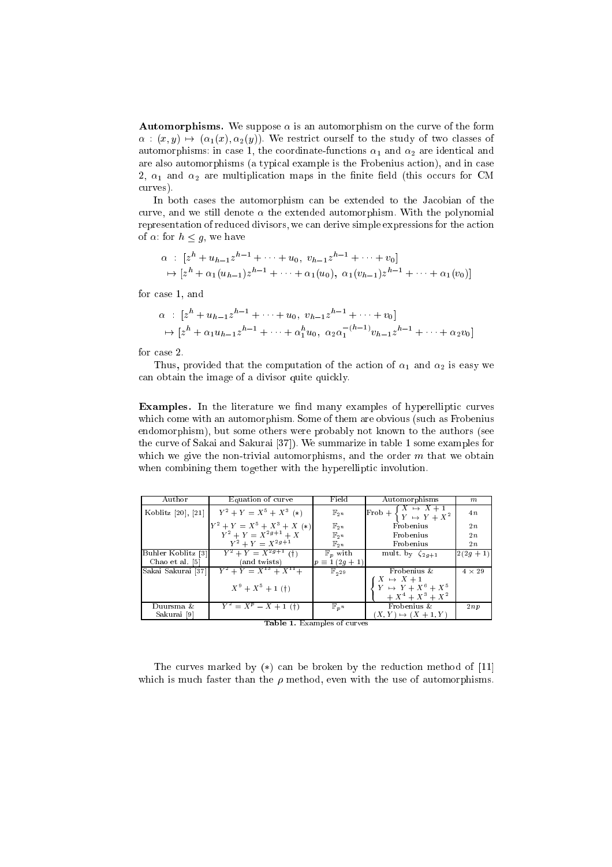**Automorphisms.** We suppose  $\alpha$  is an automorphism on the curve of the form  $\alpha$ :  $(x, y) \mapsto (\alpha_1(x), \alpha_2(y))$ . We restrict ourself to the study of two classes of automorphisms: in case 1, the coordinate-functions  $\alpha_1$  and  $\alpha_2$  are identical and are also automorphisms (a typical example is the Frobenius action), and in case 2,  $\alpha_1$  and  $\alpha_2$  are multiplication maps in the finite field (this occurs for CM curves).

In both cases the automorphism can be extended to the Jacobian of the curve, and we still denote  $\alpha$  the extended automorphism. With the polynomial representation of reduced divisors, we can derive simple expressions for the action of  $\alpha$ : for  $h \leq g$ , we have

$$
\alpha : [z^{h} + u_{h-1}z^{h-1} + \cdots + u_{0}, v_{h-1}z^{h-1} + \cdots + v_{0}]
$$
  
\n
$$
\mapsto [z^{h} + \alpha_{1}(u_{h-1})z^{h-1} + \cdots + \alpha_{1}(u_{0}), \alpha_{1}(v_{h-1})z^{h-1} + \cdots + \alpha_{1}(v_{0})]
$$

for case 1, and

$$
\alpha : [z^{h} + u_{h-1}z^{h-1} + \cdots + u_{0}, v_{h-1}z^{h-1} + \cdots + v_{0}]
$$
  
\n
$$
\mapsto [z^{h} + \alpha_{1}u_{h-1}z^{h-1} + \cdots + \alpha_{1}^{h}u_{0}, \alpha_{2}\alpha_{1}^{-(h-1)}v_{h-1}z^{h-1} + \cdots + \alpha_{2}v_{0}]
$$

for case 2.

Thus, provided that the computation of the action of  $\alpha_1$  and  $\alpha_2$  is easy we can obtain the image of a divisor quite quickly.

**Examples.** In the literature we find many examples of hyperelliptic curves which come with an automorphism. Some of them are obvious (such as Frobenius endomorphism), but some others were probably not known to the authors (see the curve of Sakai and Sakurai [37]). We summarize in table 1 some examples for which we give the non-trivial automorphisms, and the order  $m$  that we obtain when combining them together with the hyperelliptic involution.

| Author             | Equation of curve                                                                       | Field                         | Automorphisms                                                       | m             |
|--------------------|-----------------------------------------------------------------------------------------|-------------------------------|---------------------------------------------------------------------|---------------|
| Koblitz [20], [21] | $Y^2 + Y = X^5 + X^3$ (*)                                                               | $\mathbb{F}_{2^n}$            | Frob + $\begin{cases} X \mapsto X+1 \\ Y \mapsto Y+X^2 \end{cases}$ | 4n            |
|                    | $\begin{bmatrix} Y^2 + Y = X^5 + X^3 + X & (*) \\ Y^2 + Y = X^{2g+1} + X \end{bmatrix}$ | $\mathbb{F}_{2}$              | Frobenius                                                           | 2n            |
|                    |                                                                                         | $\mathbb{F}_{2}$ <sup>n</sup> | Frobenius                                                           | 2n            |
|                    | $Y^2 + Y = X^{2g+1}$                                                                    | $\mathbb{F}_{2^n}$            | Frobenius                                                           | 2n            |
| Buhler Koblitz [3] | $Y^2 + Y = \overline{X^{2g+1}(t)}$                                                      | $\mathbb{F}_p$ with           | mult. by $\zeta_{2q+1}$                                             | $2(2g + 1)$   |
| Chao et al. [5]    | (and twists)                                                                            | $p \equiv 1(2g + 1)$          |                                                                     |               |
| Sakai Sakurai [37] | $Y^2 + Y = X^{13} + X^{11} +$                                                           | $\mathbb{F}_{2^{29}}$         | Frobenius &                                                         | $4 \times 29$ |
|                    |                                                                                         |                               | $X \rightarrow X+1$                                                 |               |
|                    | $X^9 + X^5 + 1$ (†)                                                                     |                               | $Y \; \mapsto \; Y + X^6 + X^5$                                     |               |
|                    |                                                                                         |                               | $+X^4+X^3+X^2$                                                      |               |
| Duursma &          | $Y^2 = X^p - X + 1$ (†)                                                                 | $\mathbb{F}_p n$              | Frobenius &                                                         | 2np           |
| Sakurai [9]        |                                                                                         |                               | $(X, Y) \mapsto (X + 1, Y)$                                         |               |

Table 1. Examples of curves

The curves marked by  $(*)$  can be broken by the reduction method of [11] which is much faster than the  $\rho$  method, even with the use of automorphisms.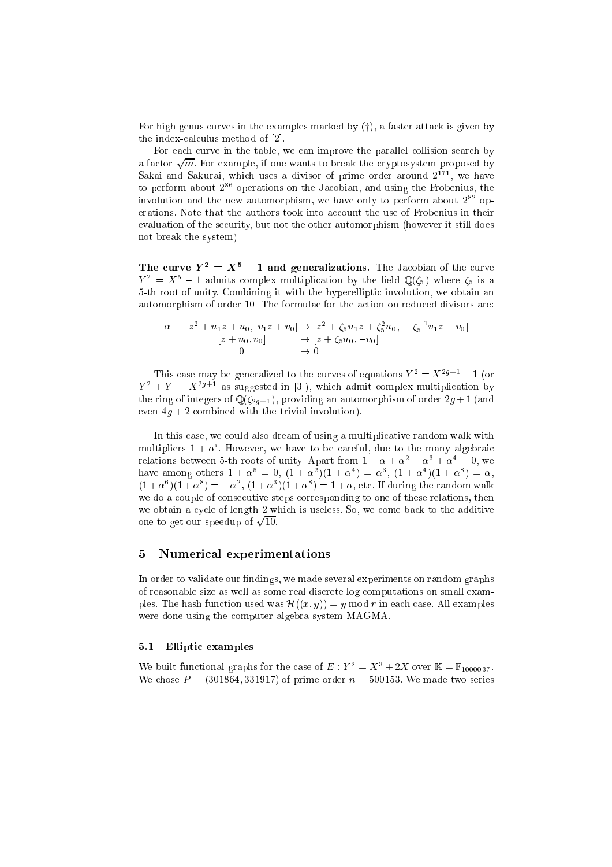For high genus curves in the examples marked by  $(f)$ , a faster attack is given by the index-calculus method of [2].

For each curve in the table, we can improve the parallel collision search by a factor  $\sqrt{m}$ . For example, if one wants to break the cryptosystem proposed by Sakai and Sakurai, which uses a divisor of prime order around  $2^{171}$ , we have to perform about  $2^{86}$  operations on the Jacobian, and using the Frobenius, the involution and the new automorphism, we have only to perform about 2<sup>82</sup> operations. Note that the authors took into account the use of Frobenius in their evaluation of the security, but not the other automorphism (however it still does not break the system).

The curve  $Y^2 = X^5 - 1$  and generalizations. The Jacobian of the curve  $Y^2 = X^5 - 1$  admits complex multiplication by the field  $\mathbb{Q}(\zeta_5)$  where  $\zeta_5$  is a 5-th root of unity. Combining it with the hyperelliptic involution, we obtain an automorphism of order 10. The formulae for the action on reduced divisors are:

$$
\alpha : [z^2 + u_1 z + u_0, v_1 z + v_0] \mapsto [z^2 + \zeta_5 u_1 z + \zeta_5^2 u_0, -\zeta_5^{-1} v_1 z - v_0] [z + u_0, v_0] \longrightarrow [z + \zeta_5 u_0, -v_0] \n0 \longrightarrow 0.
$$

This case may be generalized to the curves of equations  $Y^2 = X^{2g+1} - 1$  (or  $Y^2 + Y = X^{2g+1}$  as suggested in [3]), which admit complex multiplication by the ring of integers of  $\mathbb{Q}(\zeta_{2g+1})$ , providing an automorphism of order  $2g+1$  (and even  $4g + 2$  combined with the trivial involution).

In this case, we could also dream of using a multiplicative random walk with multipliers  $1 + \alpha$  . However, we have to be careful, due to the many algebraic relations between 5-th roots of unity. Apart from  $1 - \alpha + \alpha^2 - \alpha^3 + \alpha^4 = 0$ , we have among others  $1 + \alpha^5 = 0$ ,  $(1 + \alpha^2)(1 + \alpha^4) = \alpha^3$ ,  $(1 + \alpha^4)(1 + \alpha^8) = \alpha$ ,  $(1 + \alpha^6)(1 + \alpha^8) = -\alpha^2$ ,  $(1 + \alpha^3)(1 + \alpha^8) = 1 + \alpha$ , etc. If during the random walk we do a couple of consecutive steps corresponding to one of these relations, then we obtain a cycle of length 2 which is useless. So, we come back to the additive one to get our speedup of  $\sqrt{10}$ .

#### 5 Numerical experimentations

In order to validate our findings, we made several experiments on random graphs of reasonable size as well as some real discrete log computations on small examples. The hash function used was  $\mathcal{H}((x, y)) = y \text{ mod } r$  in each case. All examples were done using the computer algebra system MAGMA.

#### 5.1 Elliptic examples

We built functional graphs for the case of  $E: Y^2 = X^3 + 2X$  over  $\mathbb{K} = \mathbb{F}_{1000037}$ . We chose  $P = (301864, 331917)$  of prime order  $n = 500153$ . We made two series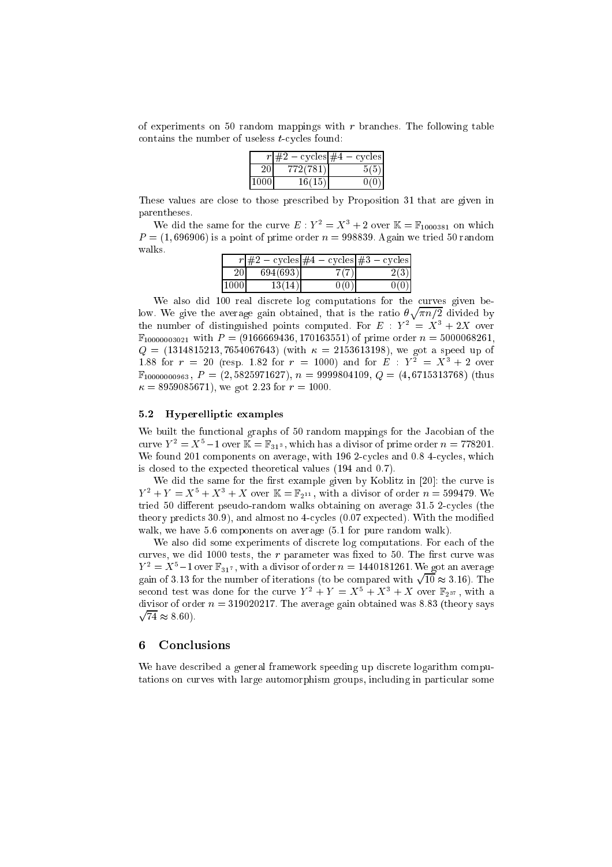of experiments on 50 random mappings with  $r$  branches. The following table contains the number of useless t-cycles found:

| – cycles #4 | — cycles |
|-------------|----------|
| 772(781)    |          |
| 16(15)      |          |

These values are close to those prescribed by Proposition 31 that are given in parentheses.

We did the same for the curve  $E: Y^2 = X^3 + 2$  over  $\mathbb{K} = \mathbb{F}_{1000381}$  on which P = (1; 696906) is a point of prime order <sup>n</sup> = 998839. Again we tried 50 random walks.

|           | $r \neq 2$ | $-\csc \#4 - \csc \#3 $ | — cycles |
|-----------|------------|-------------------------|----------|
| <b>20</b> | 694(693)   | $7(7)$ .                | 2(3)     |
| 11000     | 13(14)     | 0 ( O                   | NU.      |

We also did 100 real discrete log computations for the curves given below. We give the average gain obtained, that is the ratio <u>provide a contract de la provide de la provide de la provide de la provide de la provide de la provide de la p</u> n=2 divided by the number of distinguished points computed. For  $E : Y^2 = X^3 + 2X$  over  $\mathbb{F}_{10000003021}$  with  $P = (9166669436, 170163551)$  of prime order  $n = 5000068261$ ,  $\mathcal{S}_1$  , the contract is the speed up of  $\mathcal{S}_2$  (with  $\mathcal{S}_3$  ), we define the speed up of  $\mathcal{S}_3$ 1.88 for  $r = 20$  (resp. 1.82 for  $r = 1000$ ) and for  $E : Y^2 = X^3 + 2$  over  $\mathbb{F}_{10000000963}$ ,  $P = (2, 5825971627)$ ,  $n = 9999804109$ ,  $Q = (4, 6715313768)$  (thus = 8959085671), we got 2:23 for <sup>r</sup> = 1000.

### 5.2 Hyperelliptic examples

We built the functional graphs of 50 random mappings for the Jacobian of the curve  $Y^2 = X^5 - 1$  over  $\mathbb{K} = \mathbb{F}_{31^3}$ , which has a divisor of prime order  $n = 778201$ . We found 201 components on average, with 196 2-cycles and 0.8 4-cycles, which is closed to the expected theoretical values (194 and 0.7).

We did the same for the first example given by Koblitz in  $[20]$ : the curve is  $Y^2 + Y = X^5 + X^3 + X$  over  $\mathbb{K} = \mathbb{F}_{2^{11}}$ , with a divisor of order  $n = 599479$ . We tried 50 different pseudo-random walks obtaining on average  $31.5$  2-cycles (the theory predicts 30.9), and almost no 4-cycles (0.07 expected). With the modified walk, we have 5.6 components on average (5.1 for pure random walk).

We also did some experiments of discrete log computations. For each of the curves, we did 1000 tests, the  $r$  parameter was fixed to 50. The first curve was  $Y^2 = X^5-1$  over  $\mathbb{F}_{31^7}$ , with a divisor of order  $n = 1440181261$ . We got an average gain of 3.13 for the number of iterations (to be compared with  $\sqrt{10} \approx 3.16$ ). The second test was done for the curve  $Y^2 + Y = X^5 + X^3 + X$  over  $\mathbb{F}_{2^{37}}$ , with a p divisor of order  $n = 319020217$ . The average gain obtained was 8.83 (theory says 74 8:60).

#### 6 Conclusions

We have described a general framework speeding up discrete logarithm computations on curves with large automorphism groups, including in particular some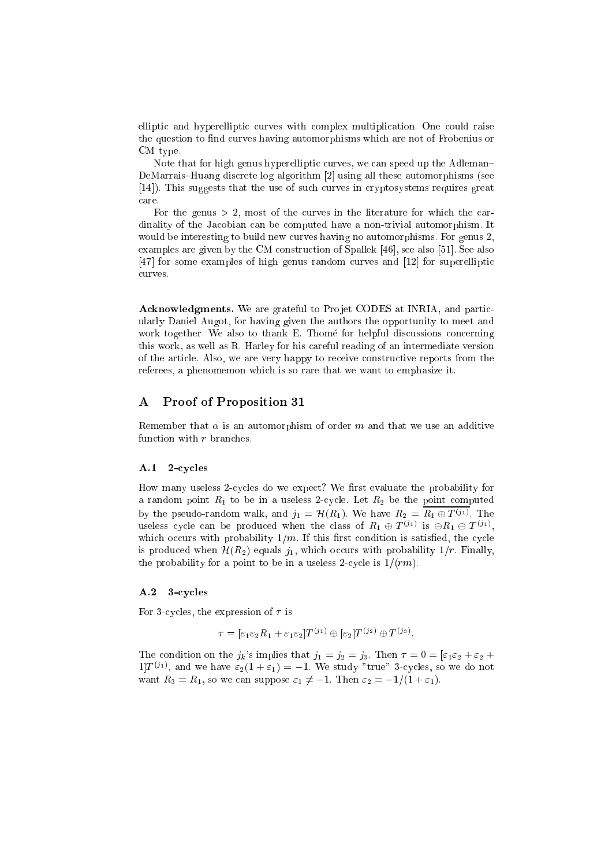elliptic and hyperelliptic curves with complex multiplication. One could raise the question to find curves having automorphisms which are not of Frobenius or CM type.

Note that for high genus hyperelliptic curves, we can speed up the Adleman{ DeMarrais-Huang discrete log algorithm [2] using all these automorphisms (see [14]). This suggests that the use of such curves in cryptosystems requires great care.

For the genus  $> 2$ , most of the curves in the literature for which the cardinality of the Jacobian can be computed have a non-trivial automorphism. It would be interesting to build new curves having no automorphisms. For genus 2, examples are given by the CM construction of Spallek [46], see also [51]. See also [47] for some examples of high genus random curves and [12] for superelliptic curves.

Acknowledgments. We are grateful to Projet CODES at INRIA, and particularly Daniel Augot, for having given the authors the opportunity to meet and work together. We also to thank E. Thomé for helpful discussions concerning this work, as well as R. Harley for his careful reading of an intermediate version of the article. Also, we are very happy to receive constructive reports from the referees, a phenomemon which is so rare that we want to emphasize it.

### A Proof of Proposition 31

Remember that  $\alpha$  is an automorphism of order m and that we use an additive function with  $r$  branches.

#### A.1 2-cycles

How many useless 2-cycles do we expect? We first evaluate the probability for a random point  $R_1$  to be in a useless 2-cycle. Let  $R_2$  be the point computed by the pseudo-random walk, and  $j_1 = H(R_1)$ . We have  $R_2 = R_1 \oplus T^{(j_1)}$ . The useless cycle can be produced when the class of  $R_1 \oplus T^{(j_1)}$  is  $\ominus R_1 \ominus T^{(j_1)}$ , which occurs with probability  $1/m$ . If this first condition is satisfied, the cycle is produced when  $\mathcal{H}(R_2)$  equals  $j_1$ , which occurs with probability  $1/r$ . Finally, the probability for a point to be in a useless 2-cycle is  $1/(rm)$ .

#### A.2 3-cycles

For 3-cycles, the expression of  $\tau$  is

$$
\tau = [\varepsilon_1 \varepsilon_2 R_1 + \varepsilon_1 \varepsilon_2] T^{(j_1)} \oplus [\varepsilon_2] T^{(j_2)} \oplus T^{(j_3)}.
$$

The condition on the  $j_k$ 's implies that  $j_1 = j_2 = j_3$ . Then  $\tau = 0 = \varepsilon_1 \varepsilon_2 + \varepsilon_2 + \varepsilon_3$  $1]T^{(j_1)}$ , and we have  $\varepsilon_2(1+\varepsilon_1)=-1$ . We study "true" 3-cycles, so we do not want  $R_3 = R_1$ , so we can suppose  $\varepsilon_1 \neq -1$ . Then  $\varepsilon_2 = -1/(1 + \varepsilon_1)$ .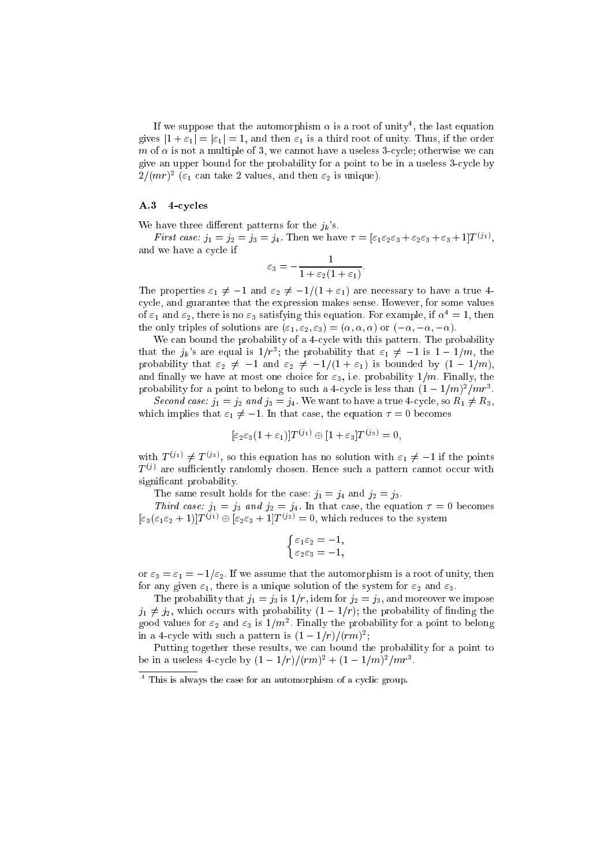If we suppose that the automorphism  $\alpha$  is a root of unity<sup>4</sup>, the last equation gives  $|1 + \varepsilon_1| = |\varepsilon_1| = 1$ , and then  $\varepsilon_1$  is a third root of unity. Thus, if the order m of a multiple of a multiple of 3, we cannot have a use of 3, well a used we cannot give an upper bound for the probability for a point to be in a useless 3-cycle by  $2/(mr)^2$  ( $\varepsilon_1$  can take 2 values, and then  $\varepsilon_2$  is unique).

#### A.3 4-cycles

We have three different patterns for the  $j_k$ 's.

First case:  $j_1 = j_2 = j_3 = j_4$ . Then we have  $\tau = [\varepsilon_1 \varepsilon_2 \varepsilon_3 + \varepsilon_2 \varepsilon_3 + \varepsilon_3 + 1] T^{(j_1)}$ , and we have a cycle if

$$
\varepsilon_3 = -\frac{1}{1 + \varepsilon_2 (1 + \varepsilon_1)}.
$$

The properties  $\varepsilon_1 \neq -1$  and  $\varepsilon_2 \neq -1/(1 + \varepsilon_1)$  are necessary to have a true 4cycle, and guarantee that the expression makes sense. However, for some values of  $\varepsilon_1$  and  $\varepsilon_2$ , there is no  $\varepsilon_3$  satisfying this equation. For example, if  $\alpha^4 = 1$ , then the only triples of solutions are  $(\varepsilon_1, \varepsilon_2, \varepsilon_3) = (\alpha, \alpha, \alpha)$  or  $(-\alpha, -\alpha, -\alpha)$ .

We can bound the probability of a 4-cycle with this pattern. The probability that the  $j_k$ 's are equal is  $1/r^3$ ; the probability that  $\varepsilon_1 \neq -1$  is  $1-1/m$ , the probability that  $\varepsilon_2 \neq -1$  and  $\varepsilon_2 \neq -1/(1 + \varepsilon_1)$  is bounded by  $(1 - 1/m)$ , and finally we have at most one choice for  $\varepsilon_3$ , i.e. probability  $1/m$ . Finally, the probability for a point to belong to such a 4-cycle is less than  $(1 - 1/m)^2/mr^3$ .

Second case.  $j_1 = j_2$  and  $j_3 = j_4$ . We want to have a true 4-cycle, so  $n_1 \neq n_3$ , which implies that  $\varepsilon_1 \neq -1$ . In that case, the equation  $\tau = 0$  becomes

$$
[\varepsilon_2 \varepsilon_3 (1 + \varepsilon_1)] T^{(j_1)} \oplus [1 + \varepsilon_3] T^{(j_3)} = 0,
$$

with  $T^{(j_1)} \neq T^{(j_3)}$ , so this equation has no solution with  $\varepsilon_1 \neq -1$  if the points  $T^{(j)}$  are sufficiently randomly chosen. Hence such a pattern cannot occur with signicant probability.

The same result holds for the case:  $j_1 = j_4$  and  $j_2 = j_3$ .

Third case.  $j_1 = j_3$  and  $j_2 = j_4$ . In that case, the equation  $\tau = 0$  becomes  $[\varepsilon_3(\varepsilon_1\varepsilon_2+1)]T^{(j_1)}\oplus[\varepsilon_2\varepsilon_3+1]T^{(j_2)}=0$ , which reduces to the system

$$
\begin{cases} \varepsilon_1 \varepsilon_2 = -1, \\ \varepsilon_2 \varepsilon_3 = -1, \end{cases}
$$

or  $\varepsilon_3 = \varepsilon_1 = -1/\varepsilon_2$ . If we assume that the automorphism is a root of unity, then for any given  $\varepsilon_1$ , there is a unique solution of the system for  $\varepsilon_2$  and  $\varepsilon_3$ .

The probability that  $j_1 = j_3$  is  $1/r$ , idem for  $j_2 = j_3$ , and moreover we impose  $j_1 \neq j_2$ , which occurs with probability  $(1 - 1/r)$ ; the probability of finding the good values for  $\varepsilon_2$  and  $\varepsilon_3$  is  $1/m^2$ . Finally the probability for a point to belong in a 4-cycle with such a pattern is  $(1-1/r)/(rm)^2$ ;

Putting together these results, we can bound the probability for a point to be in a useless 4-cycle by  $(1 - 1/r)/(rm)^2 + (1 - 1/m)^2/mr^3$ .

<sup>4</sup> This is always the case for an automorphism of a cyclic group.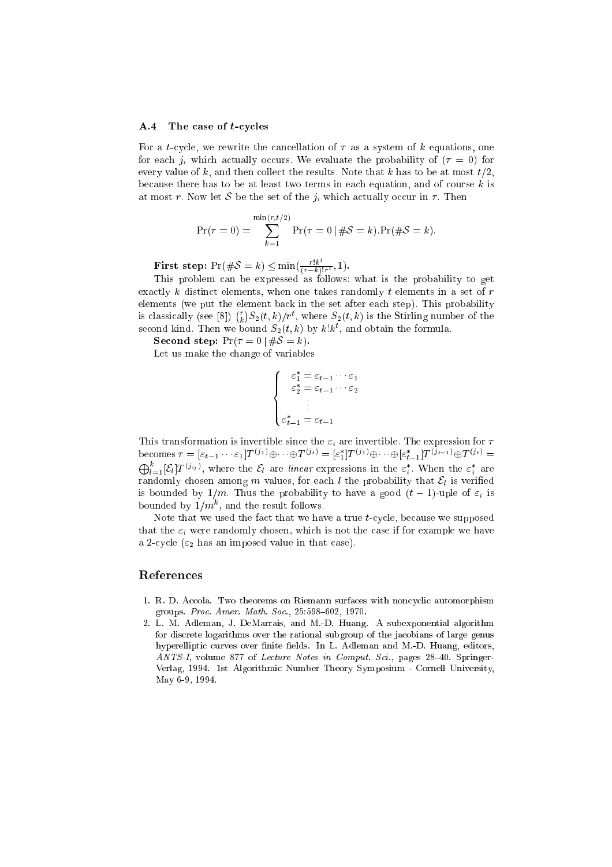#### A.4 The case of t-cycles

For a t-cycle, we rewrite the cancellation of  $\tau$  as a system of k equations, one for each ji which actually occurs. We evaluate the probability of ( <sup>=</sup> 0) for every value of k, and then collect the results. Note that k has to be at most  $t/2$ , because there has to be at least two terms in each equation, and of course  $k$  is at most r. Now let  $\mathcal{L}$  be the set of the set  $j_{\ell}$  which actually occur in . Then

$$
Pr(\tau = 0) = \sum_{k=1}^{\min(r, t/2)} Pr(\tau = 0 | #S = k). Pr(\#S = k).
$$

**First step:**  $Pr(\#\mathcal{S} = k) \le \min(\frac{r!k^t}{(r-k)!r^t}, 1)$ .

This problem can be expressed as follows: when the problem can be expressed as follows: when the probability to get exactly k distinct elements, when one takes randomly t elements in a set of  $r$ elements (we put the element back in the set after each step). This probability is classically (see [8])  $\binom{r}{k} S_2(t,k)/r^t$ , where  $S_2(t,k)$  is the Stirling number of the second kind. Then we bound  $S_2(t, k)$  by  $k! k^t$ , and obtain the formula.

Second step:  $Pr(\tau = 0 | \#S = k).$ 

Let us make the change of variables

$$
\begin{cases}\n\varepsilon_1^* = \varepsilon_{t-1} \cdots \varepsilon_1 \\
\varepsilon_2^* = \varepsilon_{t-1} \cdots \varepsilon_2 \\
\vdots \\
\varepsilon_{t-1}^* = \varepsilon_{t-1}\n\end{cases}
$$

This transformation is invertible since the "i are invertible. The expression for becomes  $\tau = [\varepsilon_{t-1} \cdots \varepsilon_1] T^{(j_1)} \oplus \cdots \oplus T^{(j_t)} = [\varepsilon_1^*] T^{(j_1)} \oplus \cdots \oplus [\varepsilon_{t-1}^*] T^{(j_{t-1})} \oplus T^{(j_t)} =$  $\bigoplus_{l=1}^k [\mathcal{E}_l] T^{(j_{i_l})}$ , where the  $\mathcal{E}_l$  are linear expressions in the  $\varepsilon_i^*$ . When the  $\varepsilon_i^*$  are randomly chosen among <sup>m</sup> values, for each <sup>l</sup> the probability that El is veried is bounded by  $1$  , the probability probability to have a good (the  $1$ )-uple of  $\mathcal{U}_k$  is bounded by  $1/m$ , and the result follows.

Note that we used the fact that we have a true t-cycle, because we supposed that the "i were randomly chosen, which is not the case if for example we have a 2-cycle ( $\varepsilon_2$  has an imposed value in that case).

#### References

- 1. R. D. Accola. Two theorems on Riemann surfaces with noncyclic automorphism groups. Proc. Amer. Math. Soc., 25:598-602, 1970.
- 2. L. M. Adleman, J. DeMarrais, and M.-D. Huang. A subexponential algorithm for discrete logarithms over the rational subgroup of the jacobians of large genus hyperelliptic curves over finite fields. In L. Adleman and M.-D. Huang, editors, ANTS-I, volume 877 of Lecture Notes in Comput. Sci., pages  $28-40$ . Springer-Verlag, 1994. 1st Algorithmic Number Theory Symposium - Cornell University, May 6-9, 1994.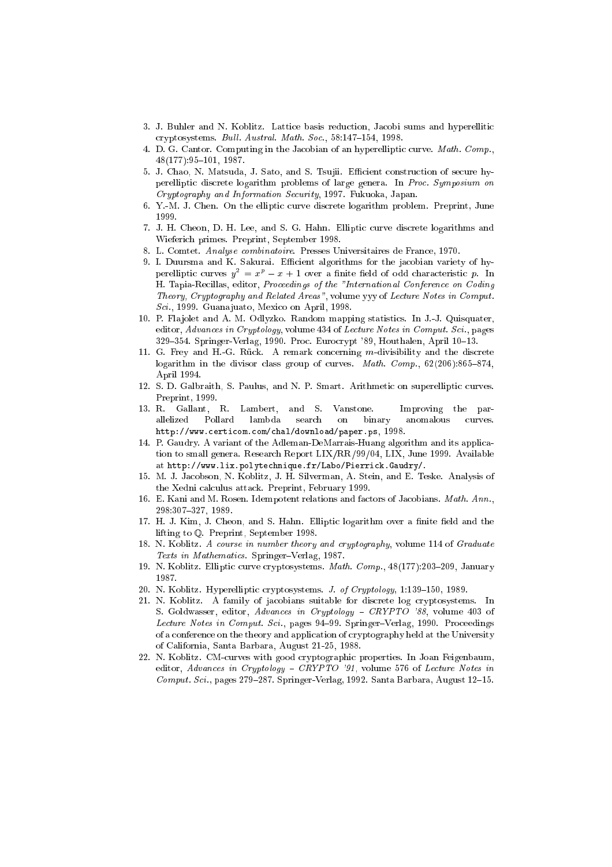- 3. J. Buhler and N. Koblitz. Lattice basis reduction, Jacobi sums and hyperellitic cryptosystems. Bull. Austral. Math. Soc., 58:147-154, 1998.
- 4. D. G. Cantor. Computing in the Jacobian of an hyperelliptic curve. Math. Comp.,  $48(177):95{-}101, 1987.$
- 5. J. Chao, N. Matsuda, J. Sato, and S. Tsujii. Efficient construction of secure hyperelliptic discrete logarithm problems of large genera. In Proc. Symposium on Cryptography and Information Security, 1997. Fukuoka, Japan.
- 6. Y.-M. J. Chen. On the elliptic curve discrete logarithm problem. Preprint, June 1999.
- 7. J. H. Cheon, D. H. Lee, and S. G. Hahn. Elliptic curve discrete logarithms and Wieferich primes. Preprint, September 1998.
- 8. L. Comtet. Analyse combinatoire. Presses Universitaires de France, 1970.
- 9. I. Duursma and K. Sakurai. Efficient algorithms for the jacobian variety of hyperelliptic curves  $y^{-} = x^{r} - x + 1$  over a finite field of odd characteristic  $p$ . In H. Tapia-Recillas, editor, Proceedings of the "International Conference on Coding Theory, Cryptography and Related Areas", volume yyy of Lecture Notes in Comput. Sci., 1999. Guana juato, Mexico on April, 1998.
- 10. P. Fla jolet and A. M. Odlyzko. Random mapping statistics. In J.-J. Quisquater, editor, Advances in Cryptology, volume 434 of Lecture Notes in Comput. Sci., pages 329-354. Springer-Verlag, 1990. Proc. Eurocrypt '89, Houthalen, April 10-13.
- 11. G. Frey and H.-G. Ruck. A remark concerning m-divisibility and the discrete logarithm in the divisor class group of curves. Math. Comp.,  $62(206):865-874$ , April 1994.
- 12. S. D. Galbraith, S. Paulus, and N. P. Smart. Arithmetic on superelliptic curves. Preprint, 1999.
- 13. R. Gallant, R. Lambert, and S. Vanstone. Improving the parallelized Pollard lambda search on binary anomalous curves. http://www.certicom.com/chal/download/paper.ps, 1998.
- 14. P. Gaudry. A variant of the Adleman-DeMarrais-Huang algorithm and its application to small genera. Research Report LIX/RR/99/04, LIX, June 1999. Available at http://www.lix.polytechnique.fr/Labo/Pierrick.Gaudry/.
- 15. M. J. Jacobson, N. Koblitz, J. H. Silverman, A. Stein, and E. Teske. Analysis of the Xedni calculus attack. Preprint, February 1999.
- 16. E. Kani and M. Rosen. Idempotent relations and factors of Jacobians. Math. Ann., 298:307-327, 1989.
- 17. H. J. Kim, J. Cheon, and S. Hahn. Elliptic logarithm over a finite field and the lifting to Q. Preprint, September 1998.
- 18. N. Koblitz. A course in number theory and cryptography, volume 114 of Graduate Texts in Mathematics. Springer-Verlag, 1987.
- 19. N. Koblitz. Elliptic curve cryptosystems. Math. Comp., 48(177):203-209, January 1987.
- 20. N. Koblitz. Hyperelliptic cryptosystems. J. of Cryptology, 1:139-150, 1989.
- 21. N. Koblitz. A family of jacobians suitable for discrete log cryptosystems. In S. Goldwasser, editor, Advances in Cryptology - CRYPTO '88, volume 403 of Lecture Notes in Comput. Sci., pages 94-99. Springer-Verlag, 1990. Proceedings of a conference on the theory and application of cryptography held at the University of California, Santa Barbara, August 21-25, 1988.
- 22. N. Koblitz. CM-curves with good cryptographic properties. In Joan Feigenbaum, editor, Advances in Cryptology - CRYPTO '91, volume 576 of Lecture Notes in  $Comput. Sci., pages 279-287. Springer-Verlag, 1992. Santa Barbara, August 12-15.$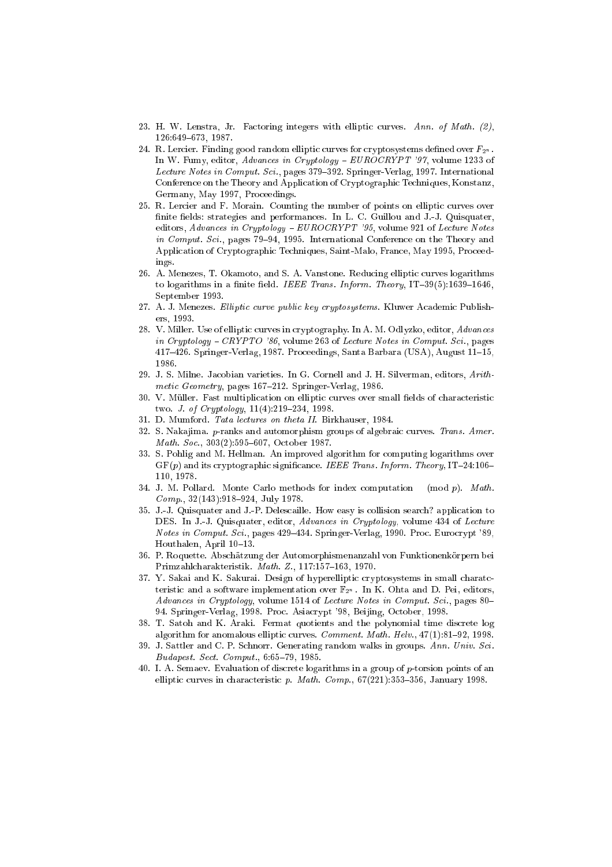- 23. H. W. Lenstra, Jr. Factoring integers with elliptic curves. Ann. of Math.  $(2)$ , 126:649-673, 1987.
- 24. R. Lercier. Finding good random elliptic curves for cryptosystems defined over  $F_{2^n}$ . In W. Fumy, editor, Advances in Cryptology -  $EUROCRYPT'$  '97, volume 1233 of Lecture Notes in Comput. Sci., pages 379-392. Springer-Verlag, 1997. International Conference on the Theory and Application of Cryptographic Techniques, Konstanz, Germany, May 1997, Proceedings.
- 25. R. Lercier and F. Morain. Counting the number of points on elliptic curves over finite fields: strategies and performances. In L. C. Guillou and J.-J. Quisquater, editors, Advances in Cryptology -  $EUROCRYPT$  '95, volume 921 of Lecture Notes in Comput. Sci., pages  $79-94$ , 1995. International Conference on the Theory and Application of Cryptographic Techniques, Saint-Malo, France, May 1995, Proceedings.
- 26. A. Menezes, T. Okamoto, and S. A. Vanstone. Reducing elliptic curves logarithms to logarithms in a finite field. IEEE Trans. Inform. Theory, IT-39(5):1639-1646, September 1993.
- 27. A. J. Menezes. Elliptic curve public key cryptosystems. Kluwer Academic Publishers. 1993. ers, 1993.
- 28. V. Miller. Use of elliptic curves in cryptography. In A. M. Odlyzko, editor, Advances in Cryptology  $-$  CRYPTO '86, volume 263 of Lecture Notes in Comput. Sci., pages  $417-426$ . Springer-Verlag, 1987. Proceedings, Santa Barbara (USA), August 11-15, 1986.
- 29. J. S. Milne. Jacobian varieties. In G. Cornell and J. H. Silverman, editors, Arithmetic Geometry, pages  $167-212$ . Springer-Verlag, 1986.
- 30. V. Muller. Fast multiplication on elliptic curves over small elds of characteristic two. *J. of Cryptology*,  $11(4):219-234$ , 1998.
- 31. D. Mumford. Tata lectures on theta II. Birkhauser, 1984.
- 32. S. Nakajima. p-ranks and automorphism groups of algebraic curves. Trans. Amer. Math. Soc., 303(2):595-607, October 1987.
- 33. S. Pohlig and M. Hellman. An improved algorithm for computing logarithms over  $GF(p)$  and its cryptographic significance. IEEE Trans. Inform. Theory, IT-24:106-110.1978. 110, 1978.
- 34. J. M. Pollard. Monte Carlo methods for index computation  $p$ . Math.  $Comp., 32(143):918-924, July 1978.$
- 35. J.-J. Quisquater and J.-P. Delescaille. How easy is collision search? application to DES. In J.-J. Quisquater, editor, Advances in Cryptology, volume 434 of Lecture Notes in Comput. Sci., pages 429-434. Springer-Verlag, 1990. Proc. Eurocrypt '89, Houthalen, April 10-13.
- 36. P. Roquette. Abschätzung der Automorphismenanzahl von Funktionenkörpern bei Primzahlcharakteristik. Math. Z., 117:157-163, 1970.
- 37. Y. Sakai and K. Sakurai. Design of hyperelliptic cryptosystems in small charatcteristic and a software implementation over  $\mathbb{F}_{2^n}$ . In K. Ohta and D. Pei, editors, Advances in Cryptology, volume 1514 of Lecture Notes in Comput. Sci., pages 80-94. Springer-Verlag, 1998. Proc. Asiacrypt '98, Beijing, October, 1998.
- 38. T. Satoh and K. Araki. Fermat quotients and the polynomial time discrete log algorithm for anomalous elliptic curves. *Comment. Math. Helv.*,  $47(1):81-92$ , 1998.
- 39. J. Sattler and C. P. Schnorr. Generating random walks in groups. Ann. Univ. Sci. Budapest. Sect. Comput., 6:65-79, 1985.
- 40. I. A. Semaev. Evaluation of discrete logarithms in a group of p-torsion points of an elliptic curves in characteristic p. Math. Comp.,  $67(221):353{-}356$ , January 1998.